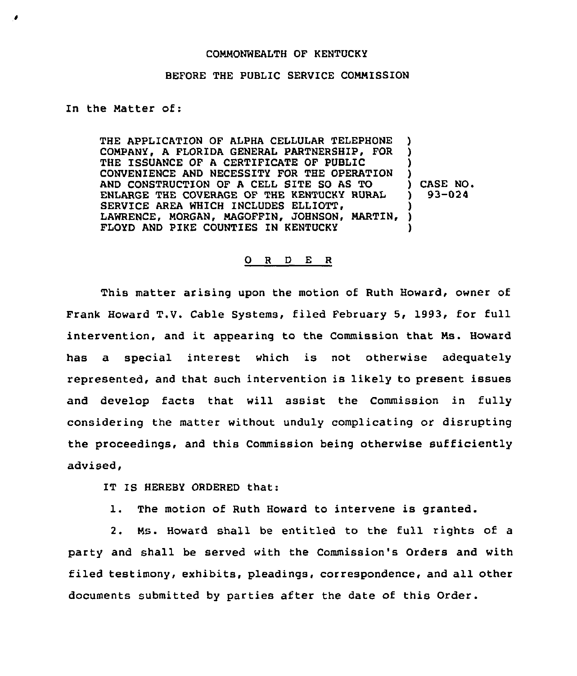## COMMONWEALTH OF KENTUCKY

## BEFORE THE PUBLIC SERVICE COMMISSION

## In the Matter of:

THE APPLICATION OF ALPHA CELLULAR TELEPHONE COMPANY, A FLORIDA GENERAL PARTNERSHIP, FOR THE ISSUANCE OF A CERTIFICATE OF PUBLIC CONVEN1ENCE AND NECESSITY FOR THE OPERATION AND CONSTRUCTION OF A CELL SITE SO AS TO ENLARGE THE COVERAGE OF THE KENTUCKY RURAL SERVICE AREA WHICH INCLUDES ELLIOTT, LAWRENCE, MORGAN, MAGOFFIN, JOHNSON, MARTIN, FLOYD AND PIKE COUNTIES IN KENTUCKY ) ) ) ) ) CASE NO. ) 93-024 ) ) )

## 0 <sup>R</sup> <sup>D</sup> E <sup>R</sup>

This matter arising upon the motion of Ruth Howard, owner of Frank Howard T.V. Cable Systems, filed February 5, 1993, for full intervention, and it appearing to the Commission that Ms. Howard has a special interest which is not otherwise adequately represented, and that such intervention is likely to present issues and develop facts that will assist the Commission in fully considering the matter without unduly complicating or disrupting the proceedings, and this Commission being otherwise sufficiently advised,

IT IS HEREBY ORDERED that:

1. The motion of Ruth Howard to intervene is granted.

2. Ms. Howard shall be entitled to the full rights of a party and shall be served with the Commission's Orders and with filed testimony, exhibits, pleadings, correspondence, and all other documents submitted by parties after the date of this Order.